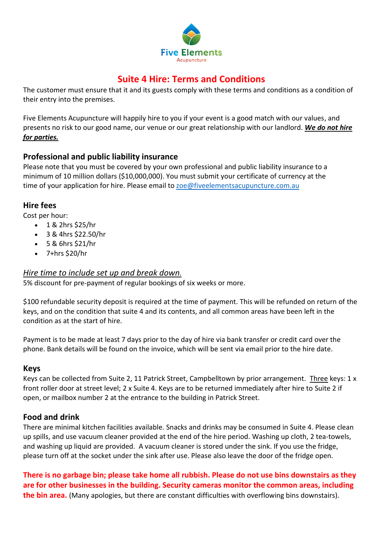

# **Suite 4 Hire: Terms and Conditions**

The customer must ensure that it and its guests comply with these terms and conditions as a condition of their entry into the premises.

Five Elements Acupuncture will happily hire to you if your event is a good match with our values, and presents no risk to our good name, our venue or our great relationship with our landlord. *We do not hire for parties.*

### **Professional and public liability insurance**

Please note that you must be covered by your own professional and public liability insurance to a minimum of 10 million dollars (\$10,000,000). You must submit your certificate of currency at the time of your application for hire. Please email to [zoe@fiveelementsacupuncture.com.au](mailto:zoe@fiveelementsacupuncture.com.au)

#### **Hire fees**

Cost per hour:

- 1 & 2hrs \$25/hr
- 3 & 4hrs \$22.50/hr
- 5 & 6hrs \$21/hr
- $\bullet$  7+hrs \$20/hr

### *Hire time to include set up and break down.*

5% discount for pre-payment of regular bookings of six weeks or more.

\$100 refundable security deposit is required at the time of payment. This will be refunded on return of the keys, and on the condition that suite 4 and its contents, and all common areas have been left in the condition as at the start of hire.

Payment is to be made at least 7 days prior to the day of hire via bank transfer or credit card over the phone. Bank details will be found on the invoice, which will be sent via email prior to the hire date.

#### **Keys**

Keys can be collected from Suite 2, 11 Patrick Street, Campbelltown by prior arrangement. Three keys: 1 x front roller door at street level; 2 x Suite 4. Keys are to be returned immediately after hire to Suite 2 if open, or mailbox number 2 at the entrance to the building in Patrick Street.

#### **Food and drink**

There are minimal kitchen facilities available. Snacks and drinks may be consumed in Suite 4. Please clean up spills, and use vacuum cleaner provided at the end of the hire period. Washing up cloth, 2 tea-towels, and washing up liquid are provided. A vacuum cleaner is stored under the sink. If you use the fridge, please turn off at the socket under the sink after use. Please also leave the door of the fridge open.

**There is no garbage bin; please take home all rubbish. Please do not use bins downstairs as they are for other businesses in the building. Security cameras monitor the common areas, including the bin area.** (Many apologies, but there are constant difficulties with overflowing bins downstairs).